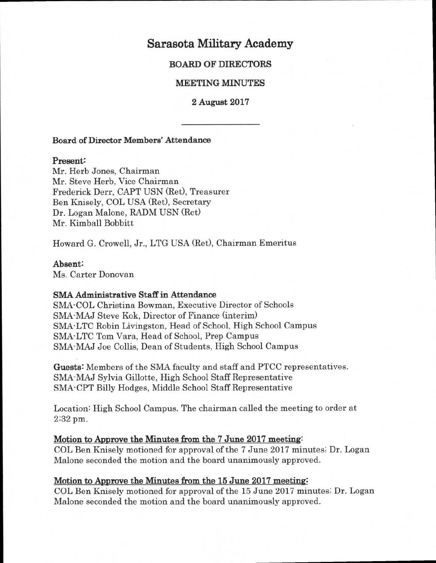# **Sarasota Military Academy**

# **BOARD OF DIRECTORS**

# **MEETING MINUTES**

**2 August 2017** 

## **Board of Director Members' Attendance**

### **Present:**

Mr. Herb Jones, Chairman Mr. Steve Herb, Vice Chairman Frederick Derr, CAPT USN (Ret), Treasurer Ben Knisely, COL USA (Ret), Secretary Dr. Logan Malone, RADM USN (Ret) Mr. Kimball Bobbitt

Howard G. Crowell, Jr., LTG USA (Ret), Chairman Emeritus

### **Absent:**

Ms. Carter Donovan

## **SMA Administrative Staff in Attendance**

SMA-COL Christina Bowman, Executive Director of Schools SMA-MAJ Steve Kok, Director of Finance (interim) SMA-LTC Robin Livingston, Head of School, High School Campus SMA-LTC Tom Vara, Head of School, Prep Campus SMA-MAJ Joe Collis, Dean of Students, High School Campus

**Guests:** Members of the SMA faculty and staff and PTCC representatives. SMA-MAJ Sylvia Gillotte, High School Staff Representative SMA-CPT Billy Hodges, Middle School Staff Representative

Location: High School Campus. The chairman called the meeting to order at 2:32 pm.

### **Motion to Approve the Minutes from the 7 June 2017 meeting:**

COL Ben Knisely motioned for approval of the 7 June 2017 minutes; Dr. Logan Malone seconded the motion and the board unanimously approved.

# **Motion to Approve the Minutes from the 15 June 2017 meeting**

COL Ben Knisely motioned for approval of the 15 June 2017 minutes; Dr. Logan Malone seconded the motion and the board unanimously approved.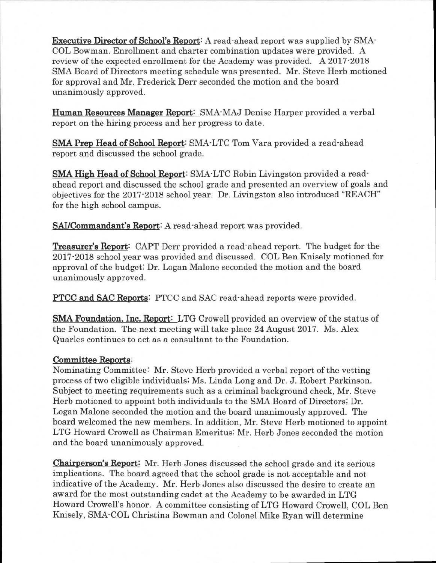**Executive Director of School's Report:** A read-ahead report was supplied by SMA-COL Bowman. Enrollment and charter combination updates were provided. A review of the expected enrollment for the Academy was provided. A 2017-2018 SMA Board of Directors meeting schedule was presented. Mr. Steve Herb motioned for approval and Mr. Frederick Derr seconded the motion and the board unanimously approved.

**Human Resources Manager Report:** SMA-MAJ Denise Harper provided a verbal report on the hiring process and her progress to date.

**SMA Prep Head of School Report:** SMA-LTC Tom Vara provided a read-ahead report and discussed the school grade.

**SMA High Head of School Report:** SMA-LTC Robin Livingston provided a readahead report and discussed the school grade and presented an overview of goals and objectives for the 2017-2018 school year. Dr. Livingston also introduced "REACH" for the high school campus.

**SAI/Commandant's Report:** A read-ahead report was provided.

**Treasurer's Report:** CAPT Derr provided a read-ahead report. The budget for the 2017-2018 school year was provided and discussed. COL Ben Knisely motioned for approval of the budget; Dr. Logan Malone seconded the motion and the board unanimously approved.

**PTCC and SAC Reports:** PTCC and SAC read-ahead reports were provided.

**SMA Foundation, Inc. Report:** LTG Crowell provided an overview of the status of the Foundation. The next meeting will take place 24 August 2017. Ms. Alex Quarles continues to act as a consultant to the Foundation.

# **Committee Reports:**

Nominating Committee: Mr. Steve Herb provided a verbal report of the vetting process of two eligible individuals; Ms. Linda Long and Dr. J. Robert Parkinson. Subject to meeting requirements such as a criminal background check, Mr. Steve Herb motioned to appoint both individuals to the SMA Board of Directors; Dr. Logan Malone seconded the motion and the board unanimously approved. The board welcomed the new members. In addition, Mr. Steve Herb motioned to appoint LTG Howard Crowell as Chairman Emeritus; Mr. Herb Jones seconded the motion and the board unanimously approved.

**Chairperson's Report:** Mr. Herb Jones discussed the school grade and its serious implications. The board agreed that the school grade is not acceptable and not indicative of the Academy. Mr. Herb Jones also discussed the desire to create an award for the most outstanding cadet at the Academy to be awarded in LTG Howard Crowell's honor. A committee consisting of LTG Howard Crowell, COL Ben Knisely, SMA-COL Christina Bowman and Colonel Mike Ryan will determine